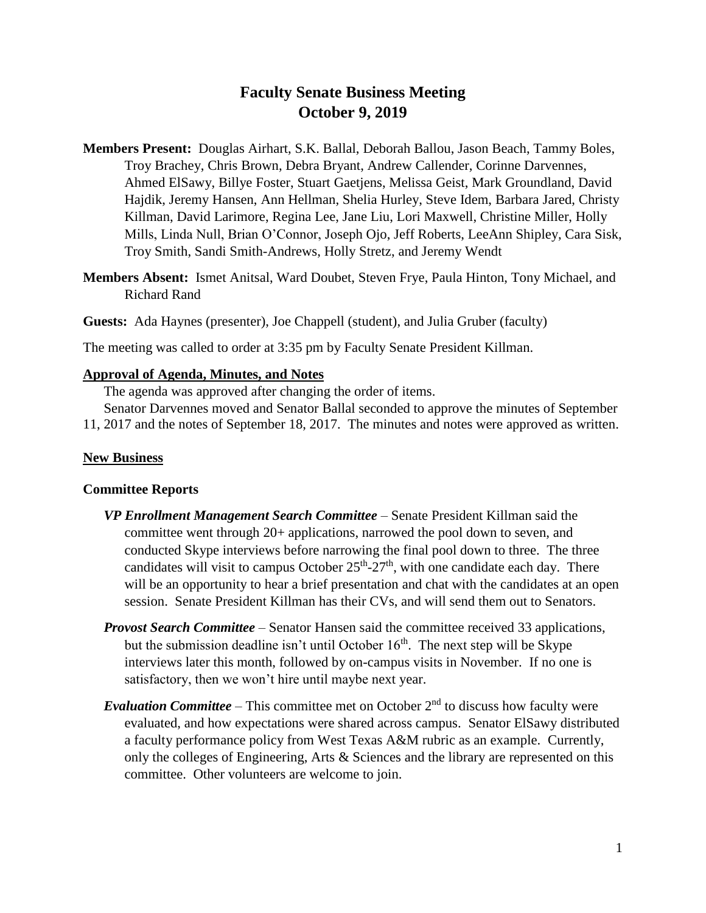# **Faculty Senate Business Meeting October 9, 2019**

- **Members Present:** Douglas Airhart, S.K. Ballal, Deborah Ballou, Jason Beach, Tammy Boles, Troy Brachey, Chris Brown, Debra Bryant, Andrew Callender, Corinne Darvennes, Ahmed ElSawy, Billye Foster, Stuart Gaetjens, Melissa Geist, Mark Groundland, David Hajdik, Jeremy Hansen, Ann Hellman, Shelia Hurley, Steve Idem, Barbara Jared, Christy Killman, David Larimore, Regina Lee, Jane Liu, Lori Maxwell, Christine Miller, Holly Mills, Linda Null, Brian O'Connor, Joseph Ojo, Jeff Roberts, LeeAnn Shipley, Cara Sisk, Troy Smith, Sandi Smith-Andrews, Holly Stretz, and Jeremy Wendt
- **Members Absent:** Ismet Anitsal, Ward Doubet, Steven Frye, Paula Hinton, Tony Michael, and Richard Rand
- **Guests:** Ada Haynes (presenter), Joe Chappell (student), and Julia Gruber (faculty)

The meeting was called to order at 3:35 pm by Faculty Senate President Killman.

### **Approval of Agenda, Minutes, and Notes**

The agenda was approved after changing the order of items.

Senator Darvennes moved and Senator Ballal seconded to approve the minutes of September 11, 2017 and the notes of September 18, 2017. The minutes and notes were approved as written.

#### **New Business**

#### **Committee Reports**

- *VP Enrollment Management Search Committee* Senate President Killman said the committee went through 20+ applications, narrowed the pool down to seven, and conducted Skype interviews before narrowing the final pool down to three. The three candidates will visit to campus October  $25<sup>th</sup> - 27<sup>th</sup>$ , with one candidate each day. There will be an opportunity to hear a brief presentation and chat with the candidates at an open session. Senate President Killman has their CVs, and will send them out to Senators.
- *Provost Search Committee* Senator Hansen said the committee received 33 applications, but the submission deadline isn't until October  $16<sup>th</sup>$ . The next step will be Skype interviews later this month, followed by on-campus visits in November. If no one is satisfactory, then we won't hire until maybe next year.
- *Evaluation Committee* This committee met on October  $2<sup>nd</sup>$  to discuss how faculty were evaluated, and how expectations were shared across campus. Senator ElSawy distributed a faculty performance policy from West Texas A&M rubric as an example. Currently, only the colleges of Engineering, Arts & Sciences and the library are represented on this committee. Other volunteers are welcome to join.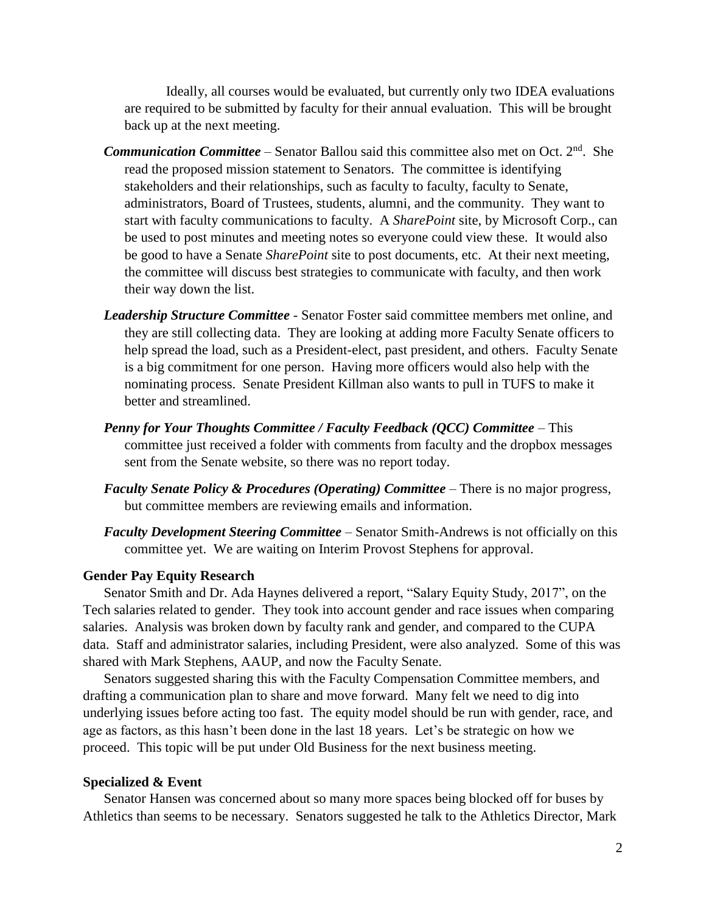Ideally, all courses would be evaluated, but currently only two IDEA evaluations are required to be submitted by faculty for their annual evaluation. This will be brought back up at the next meeting.

- **Communication Committee** Senator Ballou said this committee also met on Oct. 2<sup>nd</sup>. She read the proposed mission statement to Senators. The committee is identifying stakeholders and their relationships, such as faculty to faculty, faculty to Senate, administrators, Board of Trustees, students, alumni, and the community. They want to start with faculty communications to faculty. A *SharePoint* site, by Microsoft Corp., can be used to post minutes and meeting notes so everyone could view these. It would also be good to have a Senate *SharePoint* site to post documents, etc. At their next meeting, the committee will discuss best strategies to communicate with faculty, and then work their way down the list.
- *Leadership Structure Committee* Senator Foster said committee members met online, and they are still collecting data. They are looking at adding more Faculty Senate officers to help spread the load, such as a President-elect, past president, and others. Faculty Senate is a big commitment for one person. Having more officers would also help with the nominating process. Senate President Killman also wants to pull in TUFS to make it better and streamlined.
- *Penny for Your Thoughts Committee / Faculty Feedback (QCC) Committee* This committee just received a folder with comments from faculty and the dropbox messages sent from the Senate website, so there was no report today.
- *Faculty Senate Policy & Procedures (Operating) Committee* There is no major progress, but committee members are reviewing emails and information.
- *Faculty Development Steering Committee* Senator Smith-Andrews is not officially on this committee yet. We are waiting on Interim Provost Stephens for approval.

#### **Gender Pay Equity Research**

Senator Smith and Dr. Ada Haynes delivered a report, "Salary Equity Study, 2017", on the Tech salaries related to gender. They took into account gender and race issues when comparing salaries. Analysis was broken down by faculty rank and gender, and compared to the CUPA data. Staff and administrator salaries, including President, were also analyzed. Some of this was shared with Mark Stephens, AAUP, and now the Faculty Senate.

Senators suggested sharing this with the Faculty Compensation Committee members, and drafting a communication plan to share and move forward. Many felt we need to dig into underlying issues before acting too fast. The equity model should be run with gender, race, and age as factors, as this hasn't been done in the last 18 years. Let's be strategic on how we proceed. This topic will be put under Old Business for the next business meeting.

#### **Specialized & Event**

Senator Hansen was concerned about so many more spaces being blocked off for buses by Athletics than seems to be necessary. Senators suggested he talk to the Athletics Director, Mark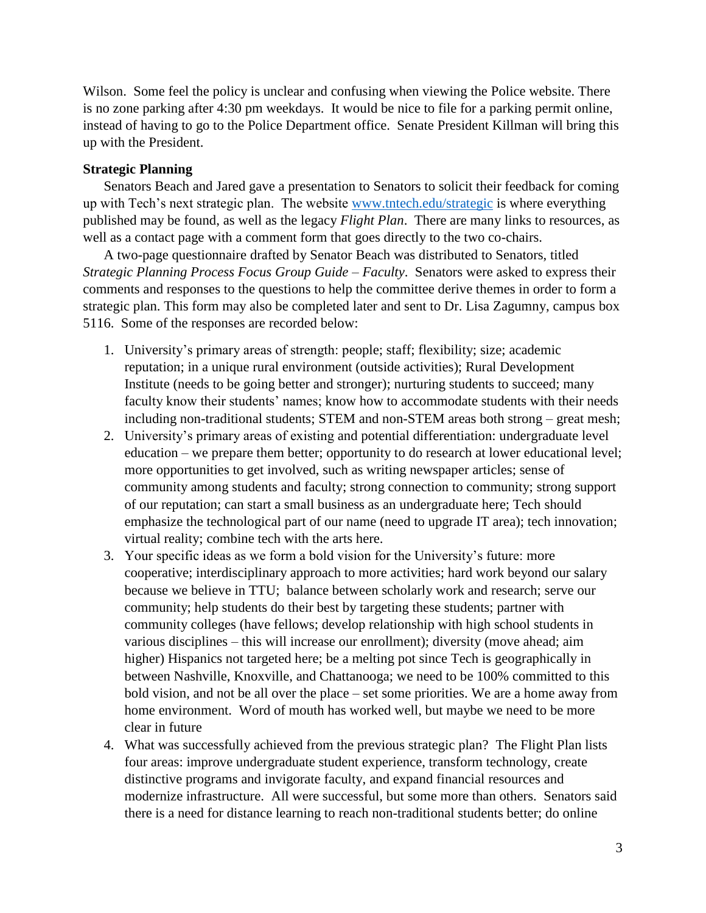Wilson. Some feel the policy is unclear and confusing when viewing the Police website. There is no zone parking after 4:30 pm weekdays. It would be nice to file for a parking permit online, instead of having to go to the Police Department office. Senate President Killman will bring this up with the President.

## **Strategic Planning**

Senators Beach and Jared gave a presentation to Senators to solicit their feedback for coming up with Tech's next strategic plan. The website [www.tntech.edu/strategic](http://www.tntech.edu/strategic) is where everything published may be found, as well as the legacy *Flight Plan*. There are many links to resources, as well as a contact page with a comment form that goes directly to the two co-chairs.

A two-page questionnaire drafted by Senator Beach was distributed to Senators, titled *Strategic Planning Process Focus Group Guide – Faculty*. Senators were asked to express their comments and responses to the questions to help the committee derive themes in order to form a strategic plan. This form may also be completed later and sent to Dr. Lisa Zagumny, campus box 5116. Some of the responses are recorded below:

- 1. University's primary areas of strength: people; staff; flexibility; size; academic reputation; in a unique rural environment (outside activities); Rural Development Institute (needs to be going better and stronger); nurturing students to succeed; many faculty know their students' names; know how to accommodate students with their needs including non-traditional students; STEM and non-STEM areas both strong – great mesh;
- 2. University's primary areas of existing and potential differentiation: undergraduate level education – we prepare them better; opportunity to do research at lower educational level; more opportunities to get involved, such as writing newspaper articles; sense of community among students and faculty; strong connection to community; strong support of our reputation; can start a small business as an undergraduate here; Tech should emphasize the technological part of our name (need to upgrade IT area); tech innovation; virtual reality; combine tech with the arts here.
- 3. Your specific ideas as we form a bold vision for the University's future: more cooperative; interdisciplinary approach to more activities; hard work beyond our salary because we believe in TTU; balance between scholarly work and research; serve our community; help students do their best by targeting these students; partner with community colleges (have fellows; develop relationship with high school students in various disciplines – this will increase our enrollment); diversity (move ahead; aim higher) Hispanics not targeted here; be a melting pot since Tech is geographically in between Nashville, Knoxville, and Chattanooga; we need to be 100% committed to this bold vision, and not be all over the place – set some priorities. We are a home away from home environment. Word of mouth has worked well, but maybe we need to be more clear in future
- 4. What was successfully achieved from the previous strategic plan? The Flight Plan lists four areas: improve undergraduate student experience, transform technology, create distinctive programs and invigorate faculty, and expand financial resources and modernize infrastructure. All were successful, but some more than others. Senators said there is a need for distance learning to reach non-traditional students better; do online